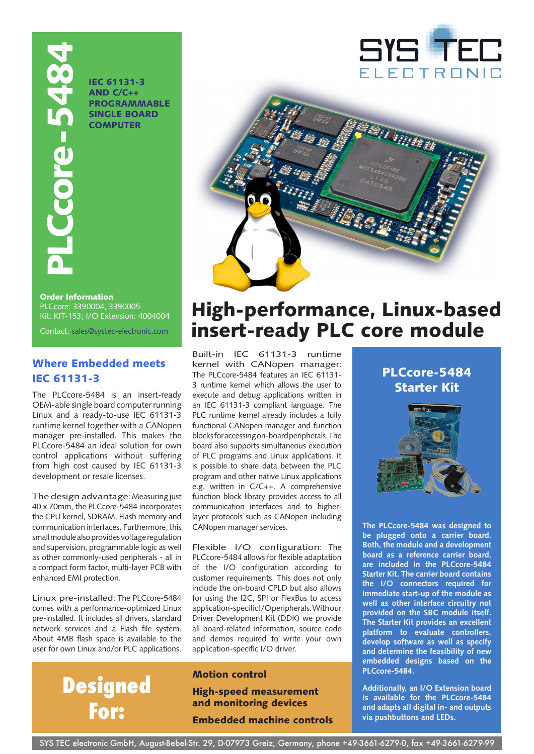

IEC 61131-3 and C/C++ **PROGRAMMABLE** SINGLE BOARD **COMPUTER** 





## High-performance, Linux-based insert-ready PLC core module

Built-in IEC 61131-3 runtime kernel with CANopen manager: The PLCcore-5484 features an IEC 61131- 3 runtime kernel which allows the user to execute and debug applications written in an IEC 61131-3 compliant language. The PLC runtime kernel already includes a fully functional CANopen manager and function blocks for accessing on-board peripherals. The board also supports simultaneous execution of PLC programs and Linux applications. It is possible to share data between the PLC program and other native Linux applications e.g. written in C/C++. A comprehensive function block library provides access to all communication interfaces and to higherlayer protocols such as CANopen including CANopen manager services.

Flexible I/O configuration: The PLCcore-5484 allows for flexible adaptation of the I/O configuration according to customer requirements. This does not only include the on-board CPLD but also allows for using the I2C, SPI or FlexBus to access application-specific I/O peripherals. With our Driver Development Kit (DDK) we provide all board-related information, source code and demos required to write your own application-specific I/O driver.

#### Motion control

### High-speed measurement and monitoring devices

Embedded machine controls





**The PLCcore-5484 was designed to be plugged onto a carrier board. Both, the module and a development board as a reference carrier board, are included in the PLCcore-5484 Starter Kit. The carrier board contains the I/O connectors required for immediate start-up of the module as well as other interface circuitry not provided on the SBC module itself. The Starter Kit provides an excellent platform to evaluate controllers, develop software as well as specify and determine the feasibility of new embedded designs based on the PLCcore-5484.**

**Additionally, an I/O Extension board is available for the PLCcore-5484 and adapts all digital in- and outputs via pushbuttons and LEDs.**

#### Order Information PLCcore: 3390004, 3390005 Kit: KIT-153; I/O Extension: 4004004

### Where Embedded meets IEC 61131-3

The PLCcore-5484 is an insert-ready OEM-able single board computer running Linux and a ready-to-use IEC 61131-3 runtime kernel together with a CANopen manager pre-installed. This makes the PLCcore-5484 an ideal solution for own control applications without suffering from high cost caused by IEC 61131-3 development or resale licenses.

The design advantage: Measuring just 40 x 70mm, the PLCcore-5484 incorporates the CPU kernel, SDRAM, Flash memory and communication interfaces. Furthermore, this small module also provides voltage regulation and supervision, programmable logic as well as other commonly-used peripherals - all in a compact form factor, multi-layer PCB with enhanced EMI protection.

Linux pre-installed: The PLCcore-5484 comes with a performance-optimized Linux pre-installed. It includes all drivers, standard network services and a Flash file system. About 4MB flash space is available to the user for own Linux and/or PLC applications.

# **Designed For:**

SYS TEC electronic GmbH, August-Bebel-Str. 29, D-07973 Greiz, Germany, phone +49-3661-6279-0, fax +49-3661-6279-99